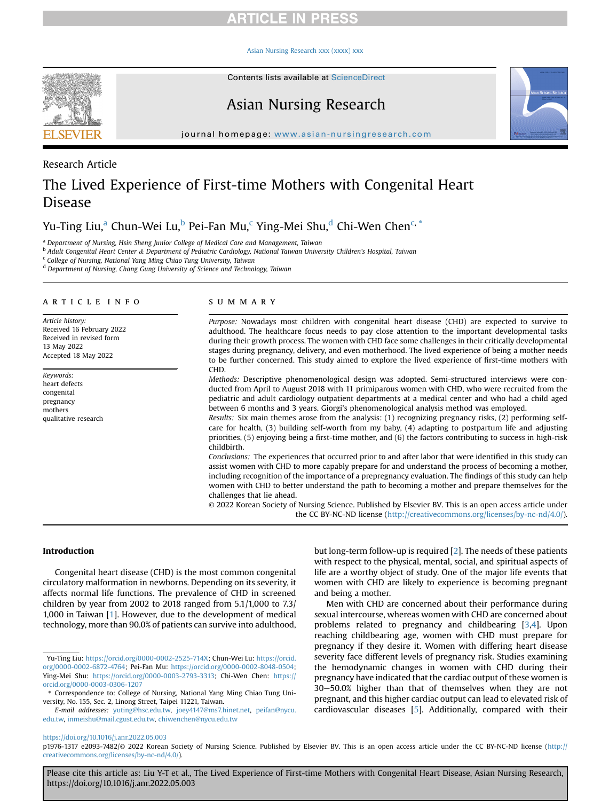#### [Asian Nursing Research xxx \(xxxx\) xxx](https://doi.org/10.1016/j.anr.2022.05.003)



Contents lists available at ScienceDirect

## Asian Nursing Research



journal homepage: [www.asian-nursingresearch.com](http://www.asian-nursingresearch.com)

## Research Article

# The Lived Experience of First-time Mothers with Congenital Heart Disease

Yu-Ting Liu,<sup>a</sup> Chun-Wei Lu,<sup>[b](#page-0-1)</sup> Pei-Fan Mu,<sup>[c](#page-0-2)</sup> Ying-Mei Shu,<sup>[d](#page-0-3)</sup> Chi-Wen Chen<sup>[c,](#page-0-2)\*</sup>

<span id="page-0-0"></span><sup>a</sup> Department of Nursing, Hsin Sheng Junior College of Medical Care and Management, Taiwan

<span id="page-0-1"></span><sup>b</sup> Adult Congenital Heart Center & Department of Pediatric Cardiology, National Taiwan University Children's Hospital, Taiwan

<span id="page-0-2"></span><sup>c</sup> College of Nursing, National Yang Ming Chiao Tung University, Taiwan

<span id="page-0-3"></span><sup>d</sup> Department of Nursing, Chang Gung University of Science and Technology, Taiwan

#### article info

Article history: Received 16 February 2022 Received in revised form 13 May 2022 Accepted 18 May 2022

Keywords: heart defects congenital pregnancy mothers qualitative research

## SUMMARY

Purpose: Nowadays most children with congenital heart disease (CHD) are expected to survive to adulthood. The healthcare focus needs to pay close attention to the important developmental tasks during their growth process. The women with CHD face some challenges in their critically developmental stages during pregnancy, delivery, and even motherhood. The lived experience of being a mother needs to be further concerned. This study aimed to explore the lived experience of first-time mothers with CHD.

Methods: Descriptive phenomenological design was adopted. Semi-structured interviews were conducted from April to August 2018 with 11 primiparous women with CHD, who were recruited from the pediatric and adult cardiology outpatient departments at a medical center and who had a child aged between 6 months and 3 years. Giorgi's phenomenological analysis method was employed.

Results: Six main themes arose from the analysis: (1) recognizing pregnancy risks, (2) performing selfcare for health, (3) building self-worth from my baby, (4) adapting to postpartum life and adjusting priorities, (5) enjoying being a first-time mother, and (6) the factors contributing to success in high-risk childbirth.

Conclusions: The experiences that occurred prior to and after labor that were identified in this study can assist women with CHD to more capably prepare for and understand the process of becoming a mother, including recognition of the importance of a prepregnancy evaluation. The findings of this study can help women with CHD to better understand the path to becoming a mother and prepare themselves for the challenges that lie ahead.

© 2022 Korean Society of Nursing Science. Published by Elsevier BV. This is an open access article under the CC BY-NC-ND license [\(http://creativecommons.org/licenses/by-nc-nd/4.0/](http://creativecommons.org/licenses/by-nc-nd/4.0/)).

Introduction

Congenital heart disease (CHD) is the most common congenital circulatory malformation in newborns. Depending on its severity, it affects normal life functions. The prevalence of CHD in screened children by year from 2002 to 2018 ranged from 5.1/1,000 to 7.3/ 1,000 in Taiwan [\[1](#page-8-0)]. However, due to the development of medical technology, more than 90.0% of patients can survive into adulthood,

but long-term follow-up is required [[2](#page-8-1)]. The needs of these patients with respect to the physical, mental, social, and spiritual aspects of life are a worthy object of study. One of the major life events that women with CHD are likely to experience is becoming pregnant and being a mother.

Men with CHD are concerned about their performance during sexual intercourse, whereas women with CHD are concerned about problems related to pregnancy and childbearing [\[3,](#page-8-2)[4\]](#page-8-3). Upon reaching childbearing age, women with CHD must prepare for pregnancy if they desire it. Women with differing heart disease severity face different levels of pregnancy risk. Studies examining the hemodynamic changes in women with CHD during their pregnancy have indicated that the cardiac output of these women is 30-50.0% higher than that of themselves when they are not pregnant, and this higher cardiac output can lead to elevated risk of cardiovascular diseases [\[5](#page-8-4)]. Additionally, compared with their

## <https://doi.org/10.1016/j.anr.2022.05.003>

p1976-1317 e2093-7482/© 2022 Korean Society of Nursing Science. Published by Elsevier BV. This is an open access article under the CC BY-NC-ND license ([http://](http://creativecommons.org/licenses/by-nc-nd/4.0/) [creativecommons.org/licenses/by-nc-nd/4.0/](http://creativecommons.org/licenses/by-nc-nd/4.0/)).

Yu-Ting Liu: <https://orcid.org/0000-0002-2525-714X>; Chun-Wei Lu: [https://orcid.](https://orcid.org/0000-0002-6872-4764) [org/0000-0002-6872-4764](https://orcid.org/0000-0002-6872-4764); Pei-Fan Mu: <https://orcid.org/0000-0002-8048-0504>; Ying-Mei Shu: [https://orcid.org/0000-0003-2793-3313;](https://orcid.org/0000-0003-2793-3313) Chi-Wen Chen: [https://](https://orcid.org/0000-0003-0306-1207) [orcid.org/0000-0003-0306-1207](https://orcid.org/0000-0003-0306-1207)

<sup>\*</sup> Correspondence to: College of Nursing, National Yang Ming Chiao Tung University, No. 155, Sec. 2, Linong Street, Taipei 11221, Taiwan.

E-mail addresses: [yuting@hsc.edu.tw](mailto:yuting@hsc.edu.tw), [joey4147@ms7.hinet.net,](mailto:joey4147@ms7.hinet.net) [peifan@nycu.](mailto:peifan@nycu.edu.tw) [edu.tw](mailto:peifan@nycu.edu.tw), [inmeishu@mail.cgust.edu.tw,](mailto:inmeishu@mail.cgust.edu.tw) [chiwenchen@nycu.edu.tw](mailto:chiwenchen@nycu.edu.tw)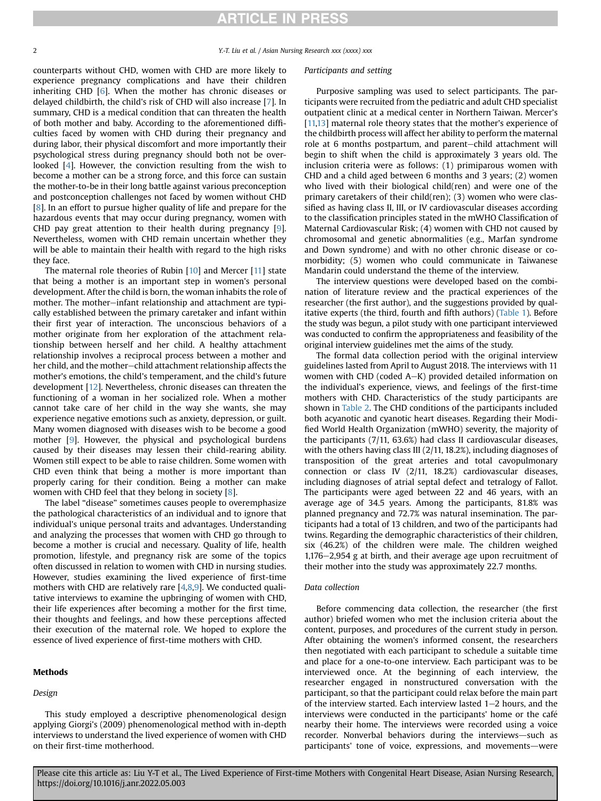2 2 T. Liu et al. / Asian Nursing Research xxx (xxxx) xxx

counterparts without CHD, women with CHD are more likely to experience pregnancy complications and have their children inheriting CHD [\[6\]](#page-8-5). When the mother has chronic diseases or delayed childbirth, the child's risk of CHD will also increase [\[7](#page-8-6)]. In summary, CHD is a medical condition that can threaten the health of both mother and baby. According to the aforementioned difficulties faced by women with CHD during their pregnancy and during labor, their physical discomfort and more importantly their psychological stress during pregnancy should both not be overlooked [\[4](#page-8-3)]. However, the conviction resulting from the wish to become a mother can be a strong force, and this force can sustain the mother-to-be in their long battle against various preconception and postconception challenges not faced by women without CHD [[8](#page-8-7)]. In an effort to pursue higher quality of life and prepare for the hazardous events that may occur during pregnancy, women with CHD pay great attention to their health during pregnancy [\[9](#page-8-8)]. Nevertheless, women with CHD remain uncertain whether they will be able to maintain their health with regard to the high risks they face.

The maternal role theories of Rubin [\[10](#page-8-9)] and Mercer [\[11](#page-8-10)] state that being a mother is an important step in women's personal development. After the child is born, the woman inhabits the role of mother. The mother-infant relationship and attachment are typically established between the primary caretaker and infant within their first year of interaction. The unconscious behaviors of a mother originate from her exploration of the attachment relationship between herself and her child. A healthy attachment relationship involves a reciprocal process between a mother and her child, and the mother-child attachment relationship affects the mother's emotions, the child's temperament, and the child's future development [\[12](#page-8-11)]. Nevertheless, chronic diseases can threaten the functioning of a woman in her socialized role. When a mother cannot take care of her child in the way she wants, she may experience negative emotions such as anxiety, depression, or guilt. Many women diagnosed with diseases wish to be become a good mother [[9\]](#page-8-8). However, the physical and psychological burdens caused by their diseases may lessen their child-rearing ability. Women still expect to be able to raise children. Some women with CHD even think that being a mother is more important than properly caring for their condition. Being a mother can make women with CHD feel that they belong in society [[8\]](#page-8-7).

The label "disease" sometimes causes people to overemphasize the pathological characteristics of an individual and to ignore that individual's unique personal traits and advantages. Understanding and analyzing the processes that women with CHD go through to become a mother is crucial and necessary. Quality of life, health promotion, lifestyle, and pregnancy risk are some of the topics often discussed in relation to women with CHD in nursing studies. However, studies examining the lived experience of first-time mothers with CHD are relatively rare [\[4,](#page-8-3)[8,](#page-8-7)[9](#page-8-8)]. We conducted qualitative interviews to examine the upbringing of women with CHD, their life experiences after becoming a mother for the first time, their thoughts and feelings, and how these perceptions affected their execution of the maternal role. We hoped to explore the essence of lived experience of first-time mothers with CHD.

#### Methods

#### Design

This study employed a descriptive phenomenological design applying Giorgi's (2009) phenomenological method with in-depth interviews to understand the lived experience of women with CHD on their first-time motherhood.

#### Participants and setting

Purposive sampling was used to select participants. The participants were recruited from the pediatric and adult CHD specialist outpatient clinic at a medical center in Northern Taiwan. Mercer's [[11,](#page-8-10)[13\]](#page-8-12) maternal role theory states that the mother's experience of the childbirth process will affect her ability to perform the maternal role at 6 months postpartum, and parent-child attachment will begin to shift when the child is approximately 3 years old. The inclusion criteria were as follows: (1) primiparous women with CHD and a child aged between 6 months and 3 years; (2) women who lived with their biological child(ren) and were one of the primary caretakers of their child(ren); (3) women who were classified as having class II, III, or IV cardiovascular diseases according to the classification principles stated in the mWHO Classification of Maternal Cardiovascular Risk; (4) women with CHD not caused by chromosomal and genetic abnormalities (e.g., Marfan syndrome and Down syndrome) and with no other chronic disease or comorbidity; (5) women who could communicate in Taiwanese Mandarin could understand the theme of the interview.

The interview questions were developed based on the combination of literature review and the practical experiences of the researcher (the first author), and the suggestions provided by qual-itative experts (the third, fourth and fifth authors) [\(Table 1\)](#page-2-0). Before the study was begun, a pilot study with one participant interviewed was conducted to confirm the appropriateness and feasibility of the original interview guidelines met the aims of the study.

The formal data collection period with the original interview guidelines lasted from April to August 2018. The interviews with 11 women with CHD (coded  $A-K$ ) provided detailed information on the individual's experience, views, and feelings of the first-time mothers with CHD. Characteristics of the study participants are shown in [Table 2](#page-3-0). The CHD conditions of the participants included both acyanotic and cyanotic heart diseases. Regarding their Modified World Health Organization (mWHO) severity, the majority of the participants (7/11, 63.6%) had class II cardiovascular diseases, with the others having class III (2/11, 18.2%), including diagnoses of transposition of the great arteries and total cavopulmonary connection or class IV (2/11, 18.2%) cardiovascular diseases, including diagnoses of atrial septal defect and tetralogy of Fallot. The participants were aged between 22 and 46 years, with an average age of 34.5 years. Among the participants, 81.8% was planned pregnancy and 72.7% was natural insemination. The participants had a total of 13 children, and two of the participants had twins. Regarding the demographic characteristics of their children, six (46.2%) of the children were male. The children weighed  $1,176-2,954$  g at birth, and their average age upon recruitment of their mother into the study was approximately 22.7 months.

### Data collection

Before commencing data collection, the researcher (the first author) briefed women who met the inclusion criteria about the content, purposes, and procedures of the current study in person. After obtaining the women's informed consent, the researchers then negotiated with each participant to schedule a suitable time and place for a one-to-one interview. Each participant was to be interviewed once. At the beginning of each interview, the researcher engaged in nonstructured conversation with the participant, so that the participant could relax before the main part of the interview started. Each interview lasted  $1-2$  hours, and the interviews were conducted in the participants' home or the café nearby their home. The interviews were recorded using a voice recorder. Nonverbal behaviors during the interviews-such as participants' tone of voice, expressions, and movements—were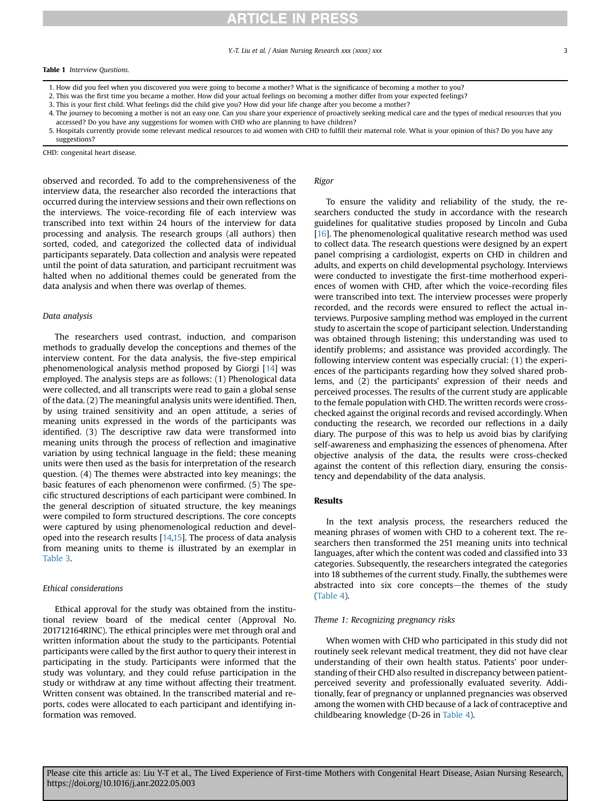#### Y.-T. Liu et al. / Asian Nursing Research xxx (xxxx) xxx 3

#### <span id="page-2-0"></span>Table 1 Interview Questions.

- 1. How did you feel when you discovered you were going to become a mother? What is the significance of becoming a mother to you?
- 2. This was the first time you became a mother. How did your actual feelings on becoming a mother differ from your expected feelings?
- 3. This is your first child. What feelings did the child give you? How did your life change after you become a mother?
- 4. The journey to becoming a mother is not an easy one. Can you share your experience of proactively seeking medical care and the types of medical resources that you accessed? Do you have any suggestions for women with CHD who are planning to have children?
- 5. Hospitals currently provide some relevant medical resources to aid women with CHD to fulfill their maternal role. What is your opinion of this? Do you have any suggestions?

observed and recorded. To add to the comprehensiveness of the interview data, the researcher also recorded the interactions that occurred during the interview sessions and their own reflections on the interviews. The voice-recording file of each interview was transcribed into text within 24 hours of the interview for data processing and analysis. The research groups (all authors) then sorted, coded, and categorized the collected data of individual participants separately. Data collection and analysis were repeated until the point of data saturation, and participant recruitment was halted when no additional themes could be generated from the data analysis and when there was overlap of themes.

#### Data analysis

The researchers used contrast, induction, and comparison methods to gradually develop the conceptions and themes of the interview content. For the data analysis, the five-step empirical phenomenological analysis method proposed by Giorgi [\[14](#page-8-13)] was employed. The analysis steps are as follows: (1) Phenological data were collected, and all transcripts were read to gain a global sense of the data. (2) The meaningful analysis units were identified. Then, by using trained sensitivity and an open attitude, a series of meaning units expressed in the words of the participants was identified. (3) The descriptive raw data were transformed into meaning units through the process of reflection and imaginative variation by using technical language in the field; these meaning units were then used as the basis for interpretation of the research question. (4) The themes were abstracted into key meanings; the basic features of each phenomenon were confirmed. (5) The specific structured descriptions of each participant were combined. In the general description of situated structure, the key meanings were compiled to form structured descriptions. The core concepts were captured by using phenomenological reduction and developed into the research results [\[14](#page-8-13)[,15](#page-8-14)]. The process of data analysis from meaning units to theme is illustrated by an exemplar in [Table 3.](#page-4-0)

#### Ethical considerations

Ethical approval for the study was obtained from the institutional review board of the medical center (Approval No. 201712164RINC). The ethical principles were met through oral and written information about the study to the participants. Potential participants were called by the first author to query their interest in participating in the study. Participants were informed that the study was voluntary, and they could refuse participation in the study or withdraw at any time without affecting their treatment. Written consent was obtained. In the transcribed material and reports, codes were allocated to each participant and identifying information was removed.

### Rigor

To ensure the validity and reliability of the study, the researchers conducted the study in accordance with the research guidelines for qualitative studies proposed by Lincoln and Guba [\[16](#page-8-15)]. The phenomenological qualitative research method was used to collect data. The research questions were designed by an expert panel comprising a cardiologist, experts on CHD in children and adults, and experts on child developmental psychology. Interviews were conducted to investigate the first-time motherhood experiences of women with CHD, after which the voice-recording files were transcribed into text. The interview processes were properly recorded, and the records were ensured to reflect the actual interviews. Purposive sampling method was employed in the current study to ascertain the scope of participant selection. Understanding was obtained through listening; this understanding was used to identify problems; and assistance was provided accordingly. The following interview content was especially crucial: (1) the experiences of the participants regarding how they solved shared problems, and (2) the participants' expression of their needs and perceived processes. The results of the current study are applicable to the female population with CHD. The written records were crosschecked against the original records and revised accordingly. When conducting the research, we recorded our reflections in a daily diary. The purpose of this was to help us avoid bias by clarifying self-awareness and emphasizing the essences of phenomena. After objective analysis of the data, the results were cross-checked against the content of this reflection diary, ensuring the consistency and dependability of the data analysis.

#### Results

In the text analysis process, the researchers reduced the meaning phrases of women with CHD to a coherent text. The researchers then transformed the 251 meaning units into technical languages, after which the content was coded and classified into 33 categories. Subsequently, the researchers integrated the categories into 18 subthemes of the current study. Finally, the subthemes were abstracted into six core concepts-the themes of the study ([Table 4\)](#page-5-0).

#### Theme 1: Recognizing pregnancy risks

When women with CHD who participated in this study did not routinely seek relevant medical treatment, they did not have clear understanding of their own health status. Patients' poor understanding of their CHD also resulted in discrepancy between patientperceived severity and professionally evaluated severity. Additionally, fear of pregnancy or unplanned pregnancies was observed among the women with CHD because of a lack of contraceptive and childbearing knowledge (D-26 in [Table 4](#page-5-0)).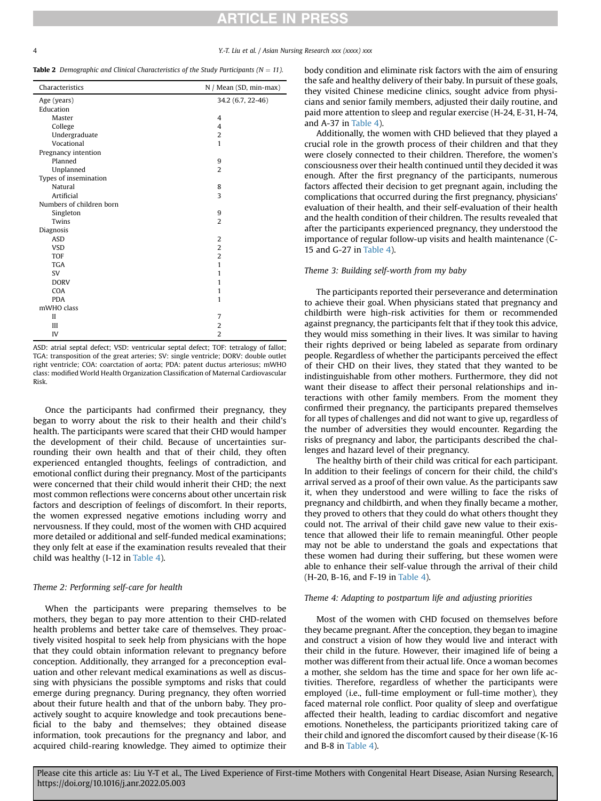#### 4 Y.-T. Liu et al. / Asian Nursing Research xxx (xxxx) xxx

<span id="page-3-0"></span>**Table 2** Demographic and Clinical Characteristics of the Study Participants ( $N = 11$ ).

| Characteristics          | N / Mean (SD, min-max) |
|--------------------------|------------------------|
| Age (years)              | 34.2 (6.7, 22-46)      |
| Education                |                        |
| Master                   | 4                      |
| College                  | 4                      |
| Undergraduate            | $\overline{2}$         |
| Vocational               | 1                      |
| Pregnancy intention      |                        |
| Planned                  | 9                      |
| Unplanned                | $\overline{2}$         |
| Types of insemination    |                        |
| Natural                  | 8                      |
| Artificial               | 3                      |
| Numbers of children born |                        |
| Singleton                | 9                      |
| Twins                    | $\overline{2}$         |
| Diagnosis                |                        |
| <b>ASD</b>               | 2                      |
| <b>VSD</b>               | $\overline{2}$         |
| <b>TOF</b>               | $\overline{2}$         |
| <b>TGA</b>               | 1                      |
| <b>SV</b>                | 1                      |
| <b>DORV</b>              | 1                      |
| COA                      | 1                      |
| <b>PDA</b>               | $\mathbf{1}$           |
| mWHO class               |                        |
| $\mathbf{I}$             | 7                      |
| III                      | $\overline{2}$         |
| IV                       | $\overline{2}$         |
|                          |                        |

ASD: atrial septal defect; VSD: ventricular septal defect; TOF: tetralogy of fallot; TGA: transposition of the great arteries; SV: single ventricle; DORV: double outlet right ventricle; COA: coarctation of aorta; PDA: patent ductus arteriosus; mWHO class: modified World Health Organization Classification of Maternal Cardiovascular Risk.

Once the participants had confirmed their pregnancy, they began to worry about the risk to their health and their child's health. The participants were scared that their CHD would hamper the development of their child. Because of uncertainties surrounding their own health and that of their child, they often experienced entangled thoughts, feelings of contradiction, and emotional conflict during their pregnancy. Most of the participants were concerned that their child would inherit their CHD; the next most common reflections were concerns about other uncertain risk factors and description of feelings of discomfort. In their reports, the women expressed negative emotions including worry and nervousness. If they could, most of the women with CHD acquired more detailed or additional and self-funded medical examinations; they only felt at ease if the examination results revealed that their child was healthy (I-12 in [Table 4](#page-5-0)).

### Theme 2: Performing self-care for health

When the participants were preparing themselves to be mothers, they began to pay more attention to their CHD-related health problems and better take care of themselves. They proactively visited hospital to seek help from physicians with the hope that they could obtain information relevant to pregnancy before conception. Additionally, they arranged for a preconception evaluation and other relevant medical examinations as well as discussing with physicians the possible symptoms and risks that could emerge during pregnancy. During pregnancy, they often worried about their future health and that of the unborn baby. They proactively sought to acquire knowledge and took precautions beneficial to the baby and themselves; they obtained disease information, took precautions for the pregnancy and labor, and acquired child-rearing knowledge. They aimed to optimize their body condition and eliminate risk factors with the aim of ensuring the safe and healthy delivery of their baby. In pursuit of these goals, they visited Chinese medicine clinics, sought advice from physicians and senior family members, adjusted their daily routine, and paid more attention to sleep and regular exercise (H-24, E-31, H-74, and A-37 in [Table 4\)](#page-5-0).

Additionally, the women with CHD believed that they played a crucial role in the growth process of their children and that they were closely connected to their children. Therefore, the women's consciousness over their health continued until they decided it was enough. After the first pregnancy of the participants, numerous factors affected their decision to get pregnant again, including the complications that occurred during the first pregnancy, physicians' evaluation of their health, and their self-evaluation of their health and the health condition of their children. The results revealed that after the participants experienced pregnancy, they understood the importance of regular follow-up visits and health maintenance (C-15 and G-27 in [Table 4\)](#page-5-0).

#### Theme 3: Building self-worth from my baby

The participants reported their perseverance and determination to achieve their goal. When physicians stated that pregnancy and childbirth were high-risk activities for them or recommended against pregnancy, the participants felt that if they took this advice, they would miss something in their lives. It was similar to having their rights deprived or being labeled as separate from ordinary people. Regardless of whether the participants perceived the effect of their CHD on their lives, they stated that they wanted to be indistinguishable from other mothers. Furthermore, they did not want their disease to affect their personal relationships and interactions with other family members. From the moment they confirmed their pregnancy, the participants prepared themselves for all types of challenges and did not want to give up, regardless of the number of adversities they would encounter. Regarding the risks of pregnancy and labor, the participants described the challenges and hazard level of their pregnancy.

The healthy birth of their child was critical for each participant. In addition to their feelings of concern for their child, the child's arrival served as a proof of their own value. As the participants saw it, when they understood and were willing to face the risks of pregnancy and childbirth, and when they finally became a mother, they proved to others that they could do what others thought they could not. The arrival of their child gave new value to their existence that allowed their life to remain meaningful. Other people may not be able to understand the goals and expectations that these women had during their suffering, but these women were able to enhance their self-value through the arrival of their child (H-20, B-16, and F-19 in [Table 4](#page-5-0)).

#### Theme 4: Adapting to postpartum life and adjusting priorities

Most of the women with CHD focused on themselves before they became pregnant. After the conception, they began to imagine and construct a vision of how they would live and interact with their child in the future. However, their imagined life of being a mother was different from their actual life. Once a woman becomes a mother, she seldom has the time and space for her own life activities. Therefore, regardless of whether the participants were employed (i.e., full-time employment or full-time mother), they faced maternal role conflict. Poor quality of sleep and overfatigue affected their health, leading to cardiac discomfort and negative emotions. Nonetheless, the participants prioritized taking care of their child and ignored the discomfort caused by their disease (K-16 and B-8 in [Table 4\)](#page-5-0).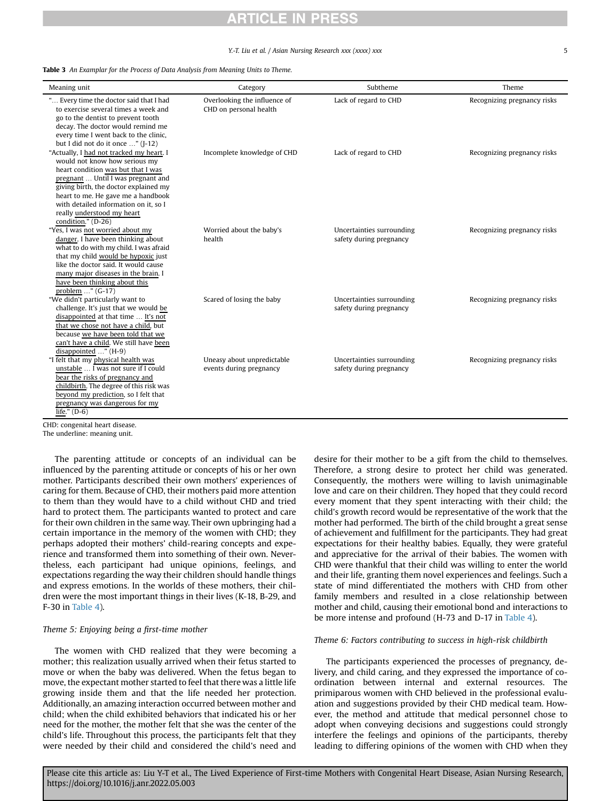#### Y.-T. Liu et al. / Asian Nursing Research xxx (xxxx) xxx 5

<span id="page-4-0"></span>Table 3 An Examplar for the Process of Data Analysis from Meaning Units to Theme.

| Meaning unit                                                                                                                                                                                                                                                                                                                      | Category                                               | Subtheme                                             | Theme                       |
|-----------------------------------------------------------------------------------------------------------------------------------------------------------------------------------------------------------------------------------------------------------------------------------------------------------------------------------|--------------------------------------------------------|------------------------------------------------------|-----------------------------|
| " Every time the doctor said that I had<br>to exercise several times a week and<br>go to the dentist to prevent tooth<br>decay. The doctor would remind me<br>every time I went back to the clinic,<br>but I did not do it once " (I-12)                                                                                          | Overlooking the influence of<br>CHD on personal health | Lack of regard to CHD                                | Recognizing pregnancy risks |
| "Actually, I had not tracked my heart. I<br>would not know how serious my<br>heart condition was but that I was<br>pregnant  Until I was pregnant and<br>giving birth, the doctor explained my<br>heart to me. He gave me a handbook<br>with detailed information on it, so I<br>really understood my heart<br>condition." (D-26) | Incomplete knowledge of CHD                            | Lack of regard to CHD                                | Recognizing pregnancy risks |
| "Yes, I was not worried about my<br>danger. I have been thinking about<br>what to do with my child. I was afraid<br>that my child would be hypoxic just<br>like the doctor said. It would cause<br>many major diseases in the brain. I<br>have been thinking about this<br>problem $\ldots$ " (G-17)                              | Worried about the baby's<br>health                     | Uncertainties surrounding<br>safety during pregnancy | Recognizing pregnancy risks |
| "We didn't particularly want to<br>challenge. It's just that we would be<br>disappointed at that time  It's not<br>that we chose not have a child, but<br>because we have been told that we<br>can't have a child. We still have been<br>disappointed " (H-9)                                                                     | Scared of losing the baby                              | Uncertainties surrounding<br>safety during pregnancy | Recognizing pregnancy risks |
| "I felt that my physical health was<br>unstable  I was not sure if I could<br>bear the risks of pregnancy and<br>childbirth. The degree of this risk was<br>beyond my prediction, so I felt that<br>pregnancy was dangerous for my<br>life." $(D-6)$<br>the state of the state of the state of                                    | Uneasy about unpredictable<br>events during pregnancy  | Uncertainties surrounding<br>safety during pregnancy | Recognizing pregnancy risks |

CHD: congenital heart disease.

The underline: meaning unit.

The parenting attitude or concepts of an individual can be influenced by the parenting attitude or concepts of his or her own mother. Participants described their own mothers' experiences of caring for them. Because of CHD, their mothers paid more attention to them than they would have to a child without CHD and tried hard to protect them. The participants wanted to protect and care for their own children in the same way. Their own upbringing had a certain importance in the memory of the women with CHD; they perhaps adopted their mothers' child-rearing concepts and experience and transformed them into something of their own. Nevertheless, each participant had unique opinions, feelings, and expectations regarding the way their children should handle things and express emotions. In the worlds of these mothers, their children were the most important things in their lives (K-18, B-29, and F-30 in [Table 4\)](#page-5-0).

#### Theme 5: Enjoying being a first-time mother

The women with CHD realized that they were becoming a mother; this realization usually arrived when their fetus started to move or when the baby was delivered. When the fetus began to move, the expectant mother started to feel that there was a little life growing inside them and that the life needed her protection. Additionally, an amazing interaction occurred between mother and child; when the child exhibited behaviors that indicated his or her need for the mother, the mother felt that she was the center of the child's life. Throughout this process, the participants felt that they were needed by their child and considered the child's need and desire for their mother to be a gift from the child to themselves. Therefore, a strong desire to protect her child was generated. Consequently, the mothers were willing to lavish unimaginable love and care on their children. They hoped that they could record every moment that they spent interacting with their child; the child's growth record would be representative of the work that the mother had performed. The birth of the child brought a great sense of achievement and fulfillment for the participants. They had great expectations for their healthy babies. Equally, they were grateful and appreciative for the arrival of their babies. The women with CHD were thankful that their child was willing to enter the world and their life, granting them novel experiences and feelings. Such a state of mind differentiated the mothers with CHD from other family members and resulted in a close relationship between mother and child, causing their emotional bond and interactions to be more intense and profound (H-73 and D-17 in [Table 4\)](#page-5-0).

#### Theme 6: Factors contributing to success in high-risk childbirth

The participants experienced the processes of pregnancy, delivery, and child caring, and they expressed the importance of coordination between internal and external resources. The primiparous women with CHD believed in the professional evaluation and suggestions provided by their CHD medical team. However, the method and attitude that medical personnel chose to adopt when conveying decisions and suggestions could strongly interfere the feelings and opinions of the participants, thereby leading to differing opinions of the women with CHD when they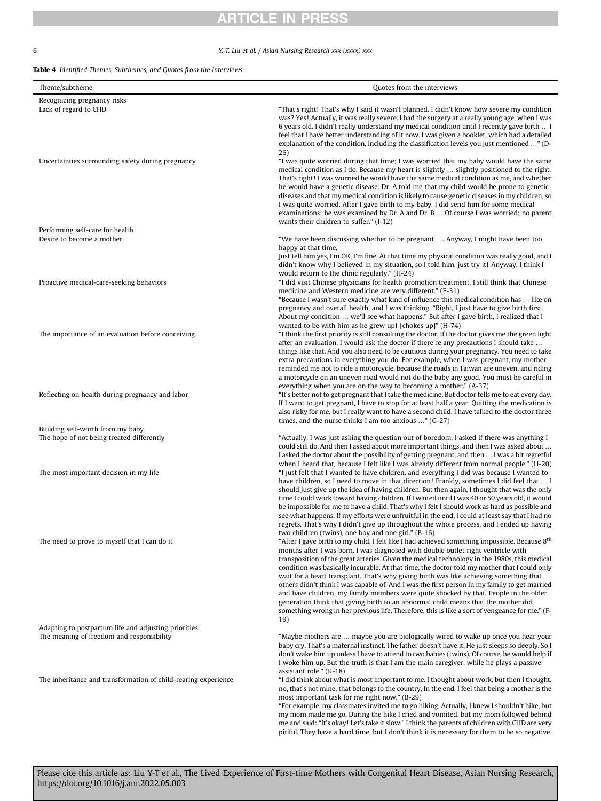## 6 Y.-T. Liu et al. / Asian Nursing Research xxx (xxxx) xxx

### <span id="page-5-0"></span>Table 4 Identified Themes, Subthemes, and Quotes from the Interviews.

| Theme/subtheme                                                 | Quotes from the interviews                                                                                                                                                                                                                                                                                                                                                                                                                                                                                                                                                                                                                                                                                                                                                                                                                                                    |
|----------------------------------------------------------------|-------------------------------------------------------------------------------------------------------------------------------------------------------------------------------------------------------------------------------------------------------------------------------------------------------------------------------------------------------------------------------------------------------------------------------------------------------------------------------------------------------------------------------------------------------------------------------------------------------------------------------------------------------------------------------------------------------------------------------------------------------------------------------------------------------------------------------------------------------------------------------|
| Recognizing pregnancy risks                                    |                                                                                                                                                                                                                                                                                                                                                                                                                                                                                                                                                                                                                                                                                                                                                                                                                                                                               |
| Lack of regard to CHD                                          | "That's right! That's why I said it wasn't planned. I didn't know how severe my condition<br>was? Yes! Actually, it was really severe. I had the surgery at a really young age, when I was<br>6 years old. I didn't really understand my medical condition until I recently gave birth  I<br>feel that I have better understanding of it now. I was given a booklet, which had a detailed<br>explanation of the condition, including the classification levels you just mentioned " (D-<br>26)                                                                                                                                                                                                                                                                                                                                                                                |
| Uncertainties surrounding safety during pregnancy              | "I was quite worried during that time; I was worried that my baby would have the same<br>medical condition as I do. Because my heart is slightly  slightly positioned to the right.<br>That's right! I was worried he would have the same medical condition as me, and whether<br>he would have a genetic disease. Dr. A told me that my child would be prone to genetic<br>diseases and that my medical condition is likely to cause genetic diseases in my children, so<br>I was quite worried. After I gave birth to my baby, I did send him for some medical<br>examinations; he was examined by Dr. A and Dr. B  Of course I was worried; no parent<br>wants their children to suffer." (I-12)                                                                                                                                                                           |
| Performing self-care for health                                |                                                                                                                                                                                                                                                                                                                                                                                                                                                                                                                                                                                                                                                                                                                                                                                                                                                                               |
| Desire to become a mother                                      | "We have been discussing whether to be pregnant  Anyway, I might have been too                                                                                                                                                                                                                                                                                                                                                                                                                                                                                                                                                                                                                                                                                                                                                                                                |
| Proactive medical-care-seeking behaviors                       | happy at that time,<br>Just tell him yes, I'm OK, I'm fine. At that time my physical condition was really good, and I<br>didn't know why I believed in my situation, so I told him, just try it! Anyway, I think I<br>would return to the clinic regularly." (H-24)<br>"I did visit Chinese physicians for health promotion treatment. I still think that Chinese<br>medicine and Western medicine are very different." (E-31)<br>"Because I wasn't sure exactly what kind of influence this medical condition has  like on                                                                                                                                                                                                                                                                                                                                                   |
| The importance of an evaluation before conceiving              | pregnancy and overall health, and I was thinking, "Right, I just have to give birth first.<br>About my condition  we'll see what happens." But after I gave birth, I realized that I<br>wanted to be with him as he grew up! [chokes up]" $(H-74)$<br>"I think the first priority is still consulting the doctor. If the doctor gives me the green light<br>after an evaluation, I would ask the doctor if there're any precautions I should take<br>things like that. And you also need to be cautious during your pregnancy. You need to take<br>extra precautions in everything you do. For example, when I was pregnant, my mother                                                                                                                                                                                                                                        |
| Reflecting on health during pregnancy and labor                | reminded me not to ride a motorcycle, because the roads in Taiwan are uneven, and riding<br>a motorcycle on an uneven road would not do the baby any good. You must be careful in<br>everything when you are on the way to becoming a mother." (A-37)<br>"It's better not to get pregnant that I take the medicine. But doctor tells me to eat every day.<br>If I want to get pregnant, I have to stop for at least half a year. Quitting the medication is<br>also risky for me, but I really want to have a second child. I have talked to the doctor three<br>times, and the nurse thinks I am too anxious $\ldots$ " (G-27)                                                                                                                                                                                                                                               |
| Building self-worth from my baby                               |                                                                                                                                                                                                                                                                                                                                                                                                                                                                                                                                                                                                                                                                                                                                                                                                                                                                               |
| The hope of not being treated differently                      | "Actually, I was just asking the question out of boredom. I asked if there was anything I<br>could still do. And then I asked about more important things, and then I was asked about<br>I asked the doctor about the possibility of getting pregnant, and then  I was a bit regretful<br>when I heard that, because I felt like I was already different from normal people." (H-20)                                                                                                                                                                                                                                                                                                                                                                                                                                                                                          |
| The most important decision in my life                         | "I just felt that I wanted to have children, and everything I did was because I wanted to<br>have children, so I need to move in that direction! Frankly, sometimes I did feel that  I<br>should just give up the idea of having children. But then again, I thought that was the only<br>time I could work toward having children. If I waited until I was 40 or 50 years old, it would<br>be impossible for me to have a child. That's why I felt I should work as hard as possible and<br>see what happens. If my efforts were unfruitful in the end, I could at least say that I had no<br>regrets. That's why I didn't give up throughout the whole process, and I ended up having<br>two children (twins), one boy and one girl." (B-16)                                                                                                                                |
| The need to prove to myself that I can do it                   | "After I gave birth to my child, I felt like I had achieved something impossible. Because 8 <sup>th</sup><br>months after I was born, I was diagnosed with double outlet right ventricle with<br>transposition of the great arteries. Given the medical technology in the 1980s, this medical<br>condition was basically incurable. At that time, the doctor told my mother that I could only<br>wait for a heart transplant. That's why giving birth was like achieving something that<br>others didn't think I was capable of. And I was the first person in my family to get married<br>and have children, my family members were quite shocked by that. People in the older<br>generation think that giving birth to an abnormal child means that the mother did<br>something wrong in her previous life. Therefore, this is like a sort of vengeance for me." (F-<br>19) |
| Adapting to postpartum life and adjusting priorities           |                                                                                                                                                                                                                                                                                                                                                                                                                                                                                                                                                                                                                                                                                                                                                                                                                                                                               |
| The meaning of freedom and responsibility                      | "Maybe mothers are  maybe you are biologically wired to wake up once you hear your<br>baby cry. That's a maternal instinct. The father doesn't have it. He just sleeps so deeply. So I<br>don't wake him up unless I have to attend to two babies (twins). Of course, he would help if<br>I woke him up. But the truth is that I am the main caregiver, while he plays a passive<br>assistant role." (K-18)                                                                                                                                                                                                                                                                                                                                                                                                                                                                   |
| The inheritance and transformation of child-rearing experience | "I did think about what is most important to me. I thought about work, but then I thought,<br>no, that's not mine, that belongs to the country. In the end, I feel that being a mother is the<br>most important task for me right now." (B-29)                                                                                                                                                                                                                                                                                                                                                                                                                                                                                                                                                                                                                                |
|                                                                | "For example, my classmates invited me to go hiking. Actually, I knew I shouldn't hike, but<br>my mom made me go. During the hike I cried and vomited, but my mom followed behind<br>me and said: "It's okay! Let's take it slow." I think the parents of children with CHD are very                                                                                                                                                                                                                                                                                                                                                                                                                                                                                                                                                                                          |

pitiful. They have a hard time, but I don't think it is necessary for them to be so negative.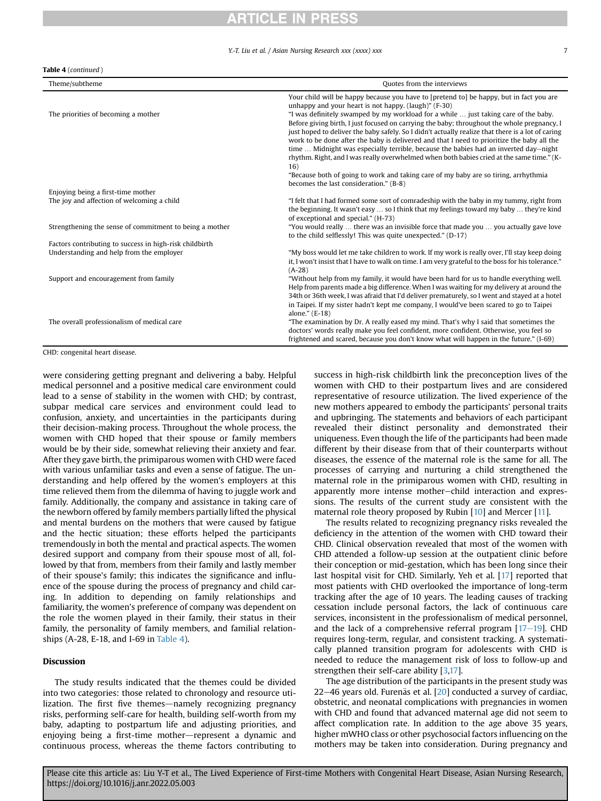#### Y.-T. Liu et al. / Asian Nursing Research xxx (xxxx) xxx

#### Table 4 (continued )

| Theme/subtheme                                          | Quotes from the interviews                                                                                                                                                                                                                                                                                                                                                                                                                                                                                                                                                                                                                                                                                                           |
|---------------------------------------------------------|--------------------------------------------------------------------------------------------------------------------------------------------------------------------------------------------------------------------------------------------------------------------------------------------------------------------------------------------------------------------------------------------------------------------------------------------------------------------------------------------------------------------------------------------------------------------------------------------------------------------------------------------------------------------------------------------------------------------------------------|
| The priorities of becoming a mother                     | Your child will be happy because you have to [pretend to] be happy, but in fact you are<br>unhappy and your heart is not happy, (laugh)" (F-30)<br>"I was definitely swamped by my workload for a while  just taking care of the baby.<br>Before giving birth, I just focused on carrying the baby; throughout the whole pregnancy, I<br>just hoped to deliver the baby safely. So I didn't actually realize that there is a lot of caring<br>work to be done after the baby is delivered and that I need to prioritize the baby all the<br>time  Midnight was especially terrible, because the babies had an inverted day-night<br>rhythm. Right, and I was really overwhelmed when both babies cried at the same time." (K-<br>16) |
|                                                         | "Because both of going to work and taking care of my baby are so tiring, arrhythmia<br>becomes the last consideration," (B-8)                                                                                                                                                                                                                                                                                                                                                                                                                                                                                                                                                                                                        |
| Enjoying being a first-time mother                      |                                                                                                                                                                                                                                                                                                                                                                                                                                                                                                                                                                                                                                                                                                                                      |
| The joy and affection of welcoming a child              | "I felt that I had formed some sort of comradeship with the baby in my tummy, right from<br>the beginning. It wasn't easy  so I think that my feelings toward my baby  they're kind<br>of exceptional and special," (H-73)                                                                                                                                                                                                                                                                                                                                                                                                                                                                                                           |
| Strengthening the sense of commitment to being a mother | "You would really  there was an invisible force that made you  you actually gave love<br>to the child selflessly! This was quite unexpected." (D-17)                                                                                                                                                                                                                                                                                                                                                                                                                                                                                                                                                                                 |
| Factors contributing to success in high-risk childbirth |                                                                                                                                                                                                                                                                                                                                                                                                                                                                                                                                                                                                                                                                                                                                      |
| Understanding and help from the employer                | "My boss would let me take children to work. If my work is really over, I'll stay keep doing<br>it, I won't insist that I have to walk on time. I am very grateful to the boss for his tolerance."<br>$(A-28)$                                                                                                                                                                                                                                                                                                                                                                                                                                                                                                                       |
| Support and encouragement from family                   | "Without help from my family, it would have been hard for us to handle everything well.<br>Help from parents made a big difference. When I was waiting for my delivery at around the<br>34th or 36th week, I was afraid that I'd deliver prematurely, so I went and stayed at a hotel<br>in Taipei. If my sister hadn't kept me company, I would've been scared to go to Taipei                                                                                                                                                                                                                                                                                                                                                      |
| The overall professionalism of medical care             | alone." (E-18)<br>"The examination by Dr. A really eased my mind. That's why I said that sometimes the<br>doctors' words really make you feel confident, more confident. Otherwise, you feel so<br>frightened and scared, because you don't know what will happen in the future." (I-69)                                                                                                                                                                                                                                                                                                                                                                                                                                             |

CHD: congenital heart disease.

were considering getting pregnant and delivering a baby. Helpful medical personnel and a positive medical care environment could lead to a sense of stability in the women with CHD; by contrast, subpar medical care services and environment could lead to confusion, anxiety, and uncertainties in the participants during their decision-making process. Throughout the whole process, the women with CHD hoped that their spouse or family members would be by their side, somewhat relieving their anxiety and fear. After they gave birth, the primiparous women with CHD were faced with various unfamiliar tasks and even a sense of fatigue. The understanding and help offered by the women's employers at this time relieved them from the dilemma of having to juggle work and family. Additionally, the company and assistance in taking care of the newborn offered by family members partially lifted the physical and mental burdens on the mothers that were caused by fatigue and the hectic situation; these efforts helped the participants tremendously in both the mental and practical aspects. The women desired support and company from their spouse most of all, followed by that from, members from their family and lastly member of their spouse's family; this indicates the significance and influence of the spouse during the process of pregnancy and child caring. In addition to depending on family relationships and familiarity, the women's preference of company was dependent on the role the women played in their family, their status in their family, the personality of family members, and familial relationships (A-28, E-18, and I-69 in [Table 4\)](#page-5-0).

#### Discussion

The study results indicated that the themes could be divided into two categories: those related to chronology and resource utilization. The first five themes—namely recognizing pregnancy risks, performing self-care for health, building self-worth from my baby, adapting to postpartum life and adjusting priorities, and enjoying being a first-time mother-represent a dynamic and continuous process, whereas the theme factors contributing to success in high-risk childbirth link the preconception lives of the women with CHD to their postpartum lives and are considered representative of resource utilization. The lived experience of the new mothers appeared to embody the participants' personal traits and upbringing. The statements and behaviors of each participant revealed their distinct personality and demonstrated their uniqueness. Even though the life of the participants had been made different by their disease from that of their counterparts without diseases, the essence of the maternal role is the same for all. The processes of carrying and nurturing a child strengthened the maternal role in the primiparous women with CHD, resulting in apparently more intense mother-child interaction and expressions. The results of the current study are consistent with the maternal role theory proposed by Rubin [\[10](#page-8-9)] and Mercer [[11](#page-8-10)].

The results related to recognizing pregnancy risks revealed the deficiency in the attention of the women with CHD toward their CHD. Clinical observation revealed that most of the women with CHD attended a follow-up session at the outpatient clinic before their conception or mid-gestation, which has been long since their last hospital visit for CHD. Similarly, Yeh et al. [[17](#page-8-16)] reported that most patients with CHD overlooked the importance of long-term tracking after the age of 10 years. The leading causes of tracking cessation include personal factors, the lack of continuous care services, inconsistent in the professionalism of medical personnel, and the lack of a comprehensive referral program  $[17-19]$  $[17-19]$  $[17-19]$  $[17-19]$  $[17-19]$ . CHD requires long-term, regular, and consistent tracking. A systematically planned transition program for adolescents with CHD is needed to reduce the management risk of loss to follow-up and strengthen their self-care ability [\[3](#page-8-2),[17](#page-8-16)].

The age distribution of the participants in the present study was 22-46 years old. Furenäs et al.  $[20]$  $[20]$  conducted a survey of cardiac, obstetric, and neonatal complications with pregnancies in women with CHD and found that advanced maternal age did not seem to affect complication rate. In addition to the age above 35 years, higher mWHO class or other psychosocial factors influencing on the mothers may be taken into consideration. During pregnancy and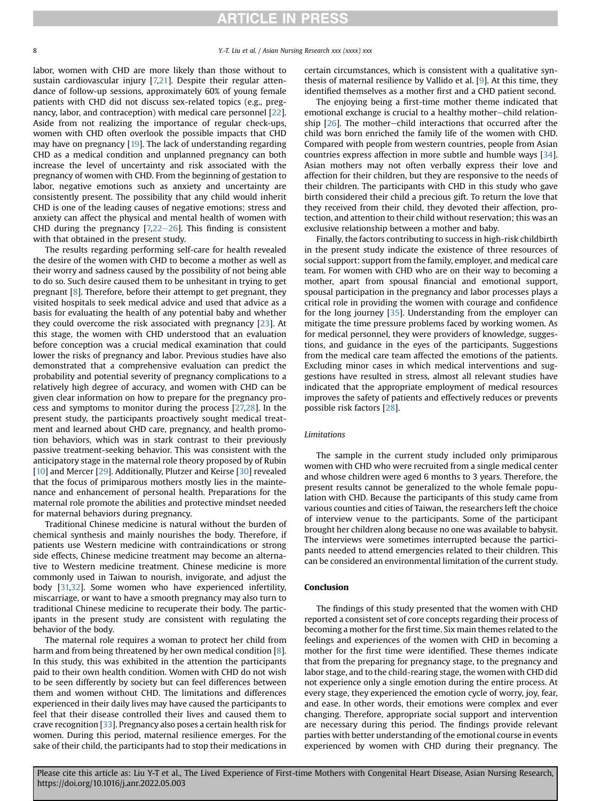labor, women with CHD are more likely than those without to sustain cardiovascular injury [[7,](#page-8-6)[21\]](#page-8-18). Despite their regular attendance of follow-up sessions, approximately 60% of young female patients with CHD did not discuss sex-related topics (e.g., pregnancy, labor, and contraception) with medical care personnel [[22](#page-8-19)]. Aside from not realizing the importance of regular check-ups, women with CHD often overlook the possible impacts that CHD may have on pregnancy [\[19](#page-8-20)]. The lack of understanding regarding CHD as a medical condition and unplanned pregnancy can both increase the level of uncertainty and risk associated with the pregnancy of women with CHD. From the beginning of gestation to labor, negative emotions such as anxiety and uncertainty are consistently present. The possibility that any child would inherit CHD is one of the leading causes of negative emotions; stress and anxiety can affect the physical and mental health of women with CHD during the pregnancy  $[7,22-26]$  $[7,22-26]$  $[7,22-26]$  $[7,22-26]$  $[7,22-26]$ . This finding is consistent with that obtained in the present study.

The results regarding performing self-care for health revealed the desire of the women with CHD to become a mother as well as their worry and sadness caused by the possibility of not being able to do so. Such desire caused them to be unhesitant in trying to get pregnant [\[8](#page-8-7)]. Therefore, before their attempt to get pregnant, they visited hospitals to seek medical advice and used that advice as a basis for evaluating the health of any potential baby and whether they could overcome the risk associated with pregnancy [[23](#page-8-21)]. At this stage, the women with CHD understood that an evaluation before conception was a crucial medical examination that could lower the risks of pregnancy and labor. Previous studies have also demonstrated that a comprehensive evaluation can predict the probability and potential severity of pregnancy complications to a relatively high degree of accuracy, and women with CHD can be given clear information on how to prepare for the pregnancy process and symptoms to monitor during the process [\[27,](#page-8-22)[28](#page-8-23)]. In the present study, the participants proactively sought medical treatment and learned about CHD care, pregnancy, and health promotion behaviors, which was in stark contrast to their previously passive treatment-seeking behavior. This was consistent with the anticipatory stage in the maternal role theory proposed by of Rubin [[10\]](#page-8-9) and Mercer [[29](#page-8-24)]. Additionally, Plutzer and Keirse [\[30\]](#page-8-25) revealed that the focus of primiparous mothers mostly lies in the maintenance and enhancement of personal health. Preparations for the maternal role promote the abilities and protective mindset needed for maternal behaviors during pregnancy.

Traditional Chinese medicine is natural without the burden of chemical synthesis and mainly nourishes the body. Therefore, if patients use Western medicine with contraindications or strong side effects, Chinese medicine treatment may become an alternative to Western medicine treatment. Chinese medicine is more commonly used in Taiwan to nourish, invigorate, and adjust the body [[31,](#page-8-26)[32\]](#page-8-27). Some women who have experienced infertility, miscarriage, or want to have a smooth pregnancy may also turn to traditional Chinese medicine to recuperate their body. The participants in the present study are consistent with regulating the behavior of the body.

The maternal role requires a woman to protect her child from harm and from being threatened by her own medical condition [\[8](#page-8-7)]. In this study, this was exhibited in the attention the participants paid to their own health condition. Women with CHD do not wish to be seen differently by society but can feel differences between them and women without CHD. The limitations and differences experienced in their daily lives may have caused the participants to feel that their disease controlled their lives and caused them to crave recognition [\[33\]](#page-8-28). Pregnancy also poses a certain health risk for women. During this period, maternal resilience emerges. For the sake of their child, the participants had to stop their medications in

certain circumstances, which is consistent with a qualitative synthesis of maternal resilience by Vallido et al. [\[9\]](#page-8-8). At this time, they identified themselves as a mother first and a CHD patient second.

The enjoying being a first-time mother theme indicated that emotional exchange is crucial to a healthy mother-child relationship  $[26]$ . The mother-child interactions that occurred after the child was born enriched the family life of the women with CHD. Compared with people from western countries, people from Asian countries express affection in more subtle and humble ways [[34](#page-8-30)]. Asian mothers may not often verbally express their love and affection for their children, but they are responsive to the needs of their children. The participants with CHD in this study who gave birth considered their child a precious gift. To return the love that they received from their child, they devoted their affection, protection, and attention to their child without reservation; this was an exclusive relationship between a mother and baby.

Finally, the factors contributing to success in high-risk childbirth in the present study indicate the existence of three resources of social support: support from the family, employer, and medical care team. For women with CHD who are on their way to becoming a mother, apart from spousal financial and emotional support, spousal participation in the pregnancy and labor processes plays a critical role in providing the women with courage and confidence for the long journey [[35](#page-8-31)]. Understanding from the employer can mitigate the time pressure problems faced by working women. As for medical personnel, they were providers of knowledge, suggestions, and guidance in the eyes of the participants. Suggestions from the medical care team affected the emotions of the patients. Excluding minor cases in which medical interventions and suggestions have resulted in stress, almost all relevant studies have indicated that the appropriate employment of medical resources improves the safety of patients and effectively reduces or prevents possible risk factors [\[28\]](#page-8-23).

#### Limitations

The sample in the current study included only primiparous women with CHD who were recruited from a single medical center and whose children were aged 6 months to 3 years. Therefore, the present results cannot be generalized to the whole female population with CHD. Because the participants of this study came from various counties and cities of Taiwan, the researchers left the choice of interview venue to the participants. Some of the participant brought her children along because no one was available to babysit. The interviews were sometimes interrupted because the participants needed to attend emergencies related to their children. This can be considered an environmental limitation of the current study.

### Conclusion

The findings of this study presented that the women with CHD reported a consistent set of core concepts regarding their process of becoming a mother for the first time. Six main themes related to the feelings and experiences of the women with CHD in becoming a mother for the first time were identified. These themes indicate that from the preparing for pregnancy stage, to the pregnancy and labor stage, and to the child-rearing stage, the women with CHD did not experience only a single emotion during the entire process. At every stage, they experienced the emotion cycle of worry, joy, fear, and ease. In other words, their emotions were complex and ever changing. Therefore, appropriate social support and intervention are necessary during this period. The findings provide relevant parties with better understanding of the emotional course in events experienced by women with CHD during their pregnancy. The